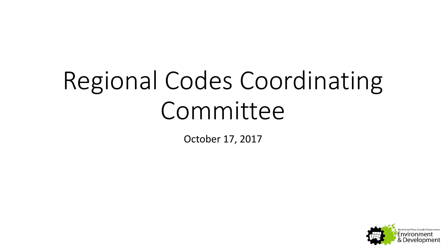# Regional Codes Coordinating Committee

October 17, 2017

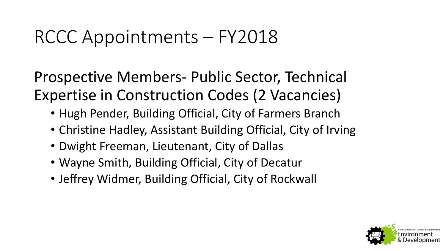#### RCCC Appointments – FY2018

Prospective Members- Public Sector, Technical Expertise in Construction Codes (2 Vacancies)

- Hugh Pender, Building Official, City of Farmers Branch
- Christine Hadley, Assistant Building Official, City of Irving
- Dwight Freeman, Lieutenant, City of Dallas
- Wayne Smith, Building Official, City of Decatur
- Jeffrey Widmer, Building Official, City of Rockwall

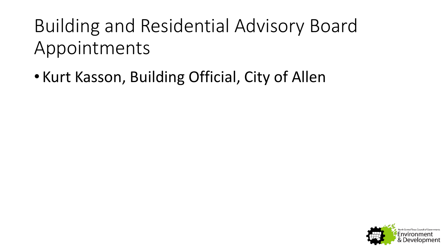### Building and Residential Advisory Board Appointments

• Kurt Kasson, Building Official, City of Allen

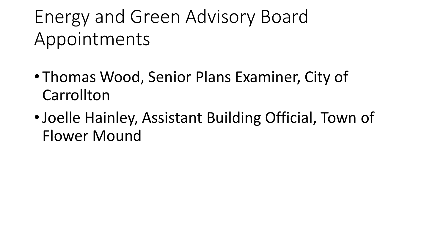### Energy and Green Advisory Board Appointments

- Thomas Wood, Senior Plans Examiner, City of **Carrollton**
- •Joelle Hainley, Assistant Building Official, Town of Flower Mound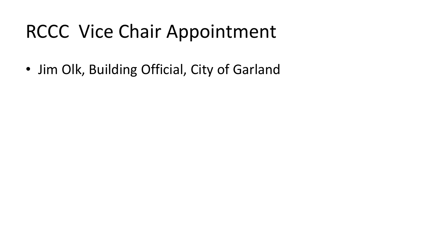#### RCCC Vice Chair Appointment

• Jim Olk, Building Official, City of Garland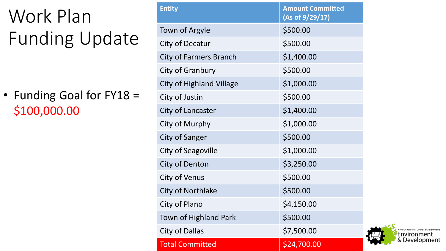# Work Plan Funding Update

• Funding Goal for FY18 = \$100,000.00

| <b>Entity</b>                   | <b>Amount Committed</b><br>(As of 9/29/17) |
|---------------------------------|--------------------------------------------|
| Town of Argyle                  | \$500.00                                   |
| City of Decatur                 | \$500.00                                   |
| City of Farmers Branch          | \$1,400.00                                 |
| City of Granbury                | \$500.00                                   |
| <b>City of Highland Village</b> | \$1,000.00                                 |
| City of Justin                  | \$500.00                                   |
| City of Lancaster               | \$1,400.00                                 |
| City of Murphy                  | \$1,000.00                                 |
| City of Sanger                  | \$500.00                                   |
| City of Seagoville              | \$1,000.00                                 |
| City of Denton                  | \$3,250.00                                 |
| City of Venus                   | \$500.00                                   |
| City of Northlake               | \$500.00                                   |
| City of Plano                   | \$4,150.00                                 |
| <b>Town of Highland Park</b>    | \$500.00                                   |
| City of Dallas                  | \$7,500.00                                 |
| <b>Total Committed</b>          | \$24,700.00                                |

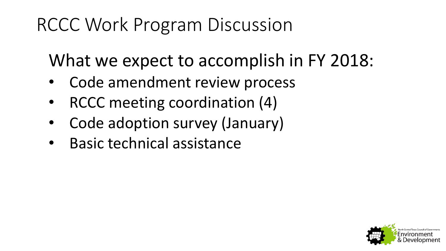#### RCCC Work Program Discussion

What we expect to accomplish in FY 2018:

- Code amendment review process
- RCCC meeting coordination (4)
- Code adoption survey (January)
- Basic technical assistance

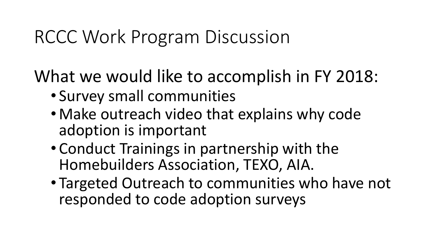#### RCCC Work Program Discussion

What we would like to accomplish in FY 2018:

- Survey small communities
- Make outreach video that explains why code adoption is important
- Conduct Trainings in partnership with the Homebuilders Association, TEXO, AIA.
- Targeted Outreach to communities who have not responded to code adoption surveys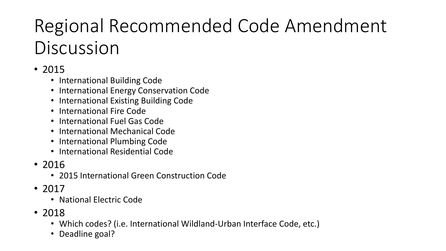## Regional Recommended Code Amendment Discussion

#### • 2015

- International Building Code
- International Energy Conservation Code
- International Existing Building Code
- International Fire Code
- International Fuel Gas Code
- International Mechanical Code
- International Plumbing Code
- International Residential Code
- 2016
	- 2015 International Green Construction Code
- 2017
	- National Electric Code
- 2018
	- Which codes? (i.e. International Wildland-Urban Interface Code, etc.)
	- Deadline goal?